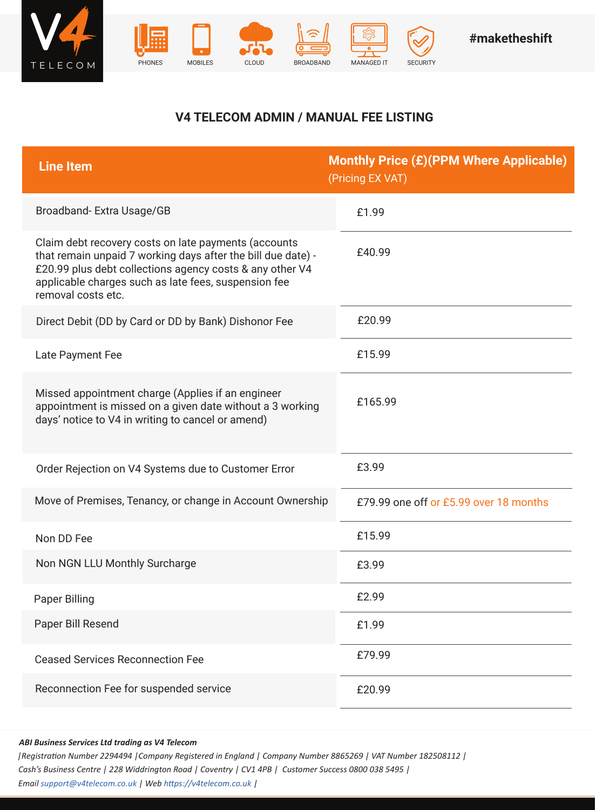





## **V4 TELECOM ADMIN / MANUAL FEE LISTING**

| <b>Line Item</b>                                                                                                                                                                                                                                               | <b>Monthly Price (£)(PPM Where Applicable)</b><br>(Pricing EX VAT) |
|----------------------------------------------------------------------------------------------------------------------------------------------------------------------------------------------------------------------------------------------------------------|--------------------------------------------------------------------|
| Broadband-Extra Usage/GB                                                                                                                                                                                                                                       | £1.99                                                              |
| Claim debt recovery costs on late payments (accounts<br>that remain unpaid 7 working days after the bill due date) -<br>£20.99 plus debt collections agency costs & any other V4<br>applicable charges such as late fees, suspension fee<br>removal costs etc. | £40.99                                                             |
| Direct Debit (DD by Card or DD by Bank) Dishonor Fee                                                                                                                                                                                                           | £20.99                                                             |
| Late Payment Fee                                                                                                                                                                                                                                               | £15.99                                                             |
| Missed appointment charge (Applies if an engineer<br>appointment is missed on a given date without a 3 working<br>days' notice to V4 in writing to cancel or amend)                                                                                            | £165.99                                                            |
| Order Rejection on V4 Systems due to Customer Error                                                                                                                                                                                                            | £3.99                                                              |
| Move of Premises, Tenancy, or change in Account Ownership                                                                                                                                                                                                      | £79.99 one off or £5.99 over 18 months                             |
| Non DD Fee                                                                                                                                                                                                                                                     | £15.99                                                             |
| Non NGN LLU Monthly Surcharge                                                                                                                                                                                                                                  | £3.99                                                              |
| <b>Paper Billing</b>                                                                                                                                                                                                                                           | £2.99                                                              |
| Paper Bill Resend                                                                                                                                                                                                                                              | £1.99                                                              |
| <b>Ceased Services Reconnection Fee</b>                                                                                                                                                                                                                        | £79.99                                                             |
| Reconnection Fee for suspended service                                                                                                                                                                                                                         | £20.99                                                             |

## *ABI Business Services Ltd trading as V4 Telecom*

*|Registration Number 2294494 |Company Registered in England | Company Number 8865269 | VAT Number 182508112 | Cash's Business Centre | 228 Widdrington Road | Coventry | CV1 4PB | Customer Success 0800 038 5495 | Email support@v4telecom.co.uk | Web https://v4telecom.co.uk |*